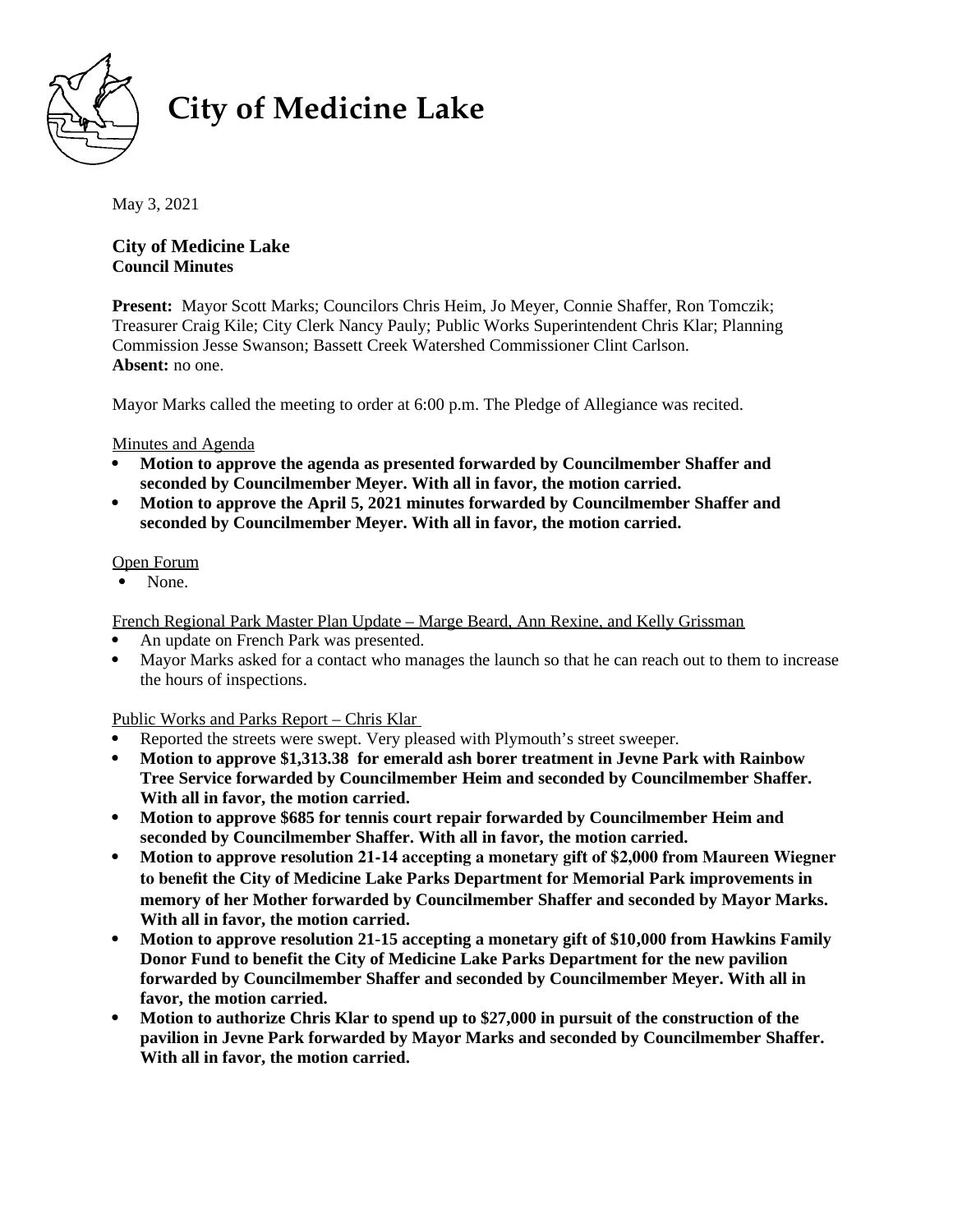

# **City of Medicine Lake**

May 3, 2021

## **City of Medicine Lake Council Minutes**

**Present:** Mayor Scott Marks; Councilors Chris Heim, Jo Meyer, Connie Shaffer, Ron Tomczik; Treasurer Craig Kile; City Clerk Nancy Pauly; Public Works Superintendent Chris Klar; Planning Commission Jesse Swanson; Bassett Creek Watershed Commissioner Clint Carlson. **Absent:** no one.

Mayor Marks called the meeting to order at 6:00 p.m. The Pledge of Allegiance was recited.

### Minutes and Agenda

- **Motion to approve the agenda as presented forwarded by Councilmember Shaffer and seconded by Councilmember Meyer. With all in favor, the motion carried.**
- **Motion to approve the April 5, 2021 minutes forwarded by Councilmember Shaffer and seconded by Councilmember Meyer. With all in favor, the motion carried.**

## Open Forum

• None.

French Regional Park Master Plan Update – Marge Beard, Ann Rexine, and Kelly Grissman

- An update on French Park was presented.
- Mayor Marks asked for a contact who manages the launch so that he can reach out to them to increase the hours of inspections.

# Public Works and Parks Report – Chris Klar

- Reported the streets were swept. Very pleased with Plymouth's street sweeper.
- **Motion to approve \$1,313.38 for emerald ash borer treatment in Jevne Park with Rainbow Tree Service forwarded by Councilmember Heim and seconded by Councilmember Shaffer. With all in favor, the motion carried.**
- **Motion to approve \$685 for tennis court repair forwarded by Councilmember Heim and seconded by Councilmember Shaffer. With all in favor, the motion carried.**
- **Motion to approve resolution 21-14 accepting a monetary gift of \$2,000 from Maureen Wiegner to benefit the City of Medicine Lake Parks Department for Memorial Park improvements in memory of her Mother forwarded by Councilmember Shaffer and seconded by Mayor Marks. With all in favor, the motion carried.**
- **Motion to approve resolution 21-15 accepting a monetary gift of \$10,000 from Hawkins Family Donor Fund to benefit the City of Medicine Lake Parks Department for the new pavilion forwarded by Councilmember Shaffer and seconded by Councilmember Meyer. With all in favor, the motion carried.**
- **Motion to authorize Chris Klar to spend up to \$27,000 in pursuit of the construction of the pavilion in Jevne Park forwarded by Mayor Marks and seconded by Councilmember Shaffer. With all in favor, the motion carried.**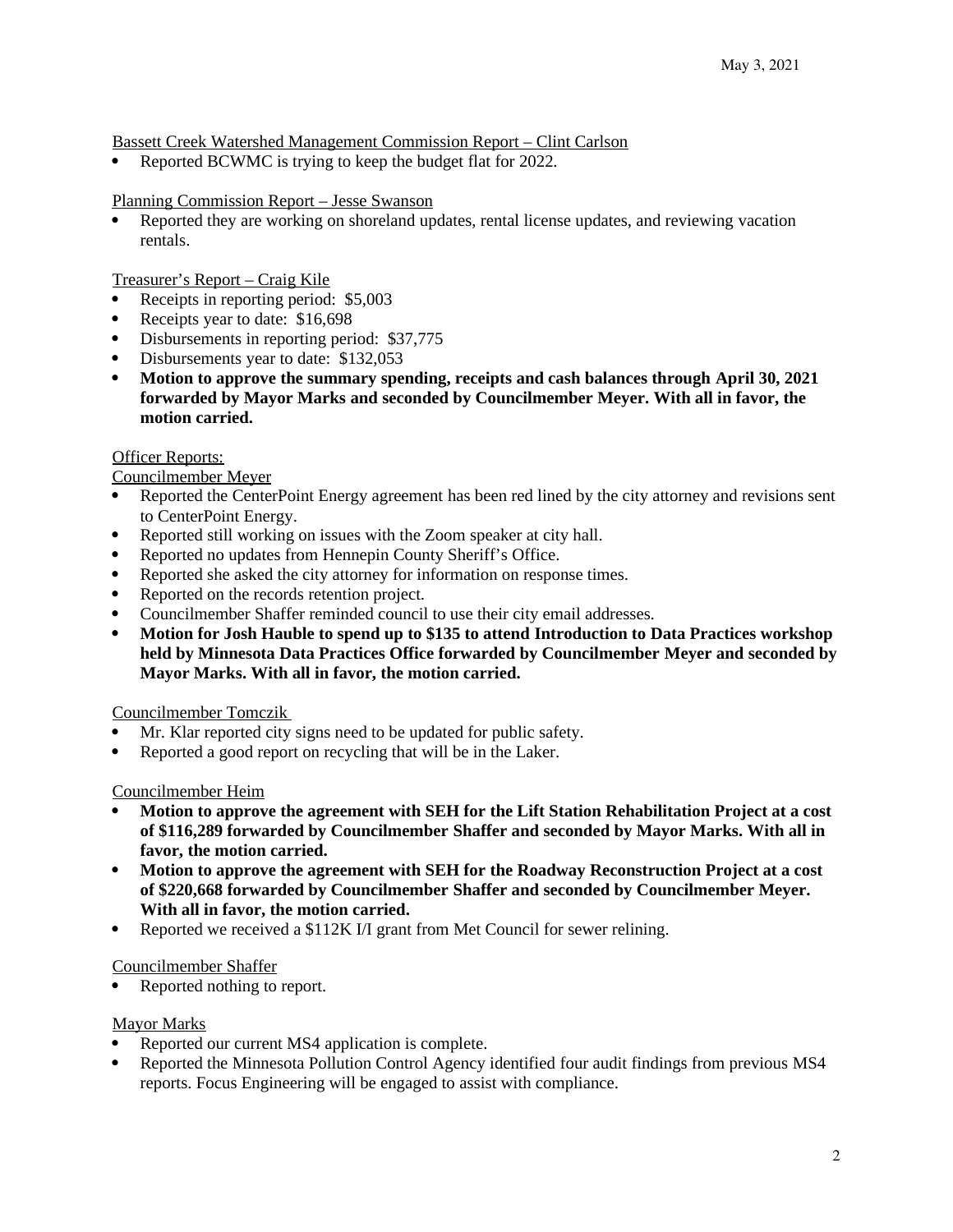Bassett Creek Watershed Management Commission Report – Clint Carlson

Reported BCWMC is trying to keep the budget flat for 2022.

#### Planning Commission Report – Jesse Swanson

 Reported they are working on shoreland updates, rental license updates, and reviewing vacation rentals.

Treasurer's Report – Craig Kile

- Receipts in reporting period: \$5,003
- Receipts year to date: \$16,698
- Disbursements in reporting period: \$37,775
- Disbursements year to date: \$132,053
- **Motion to approve the summary spending, receipts and cash balances through April 30, 2021 forwarded by Mayor Marks and seconded by Councilmember Meyer. With all in favor, the motion carried.**

#### Officer Reports:

Councilmember Meyer

- Reported the CenterPoint Energy agreement has been red lined by the city attorney and revisions sent to CenterPoint Energy.
- Reported still working on issues with the Zoom speaker at city hall.
- Reported no updates from Hennepin County Sheriff's Office.
- Reported she asked the city attorney for information on response times.
- Reported on the records retention project.
- Councilmember Shaffer reminded council to use their city email addresses.
- **Motion for Josh Hauble to spend up to \$135 to attend Introduction to Data Practices workshop held by Minnesota Data Practices Office forwarded by Councilmember Meyer and seconded by Mayor Marks. With all in favor, the motion carried.**

#### Councilmember Tomczik

- Mr. Klar reported city signs need to be updated for public safety.
- Reported a good report on recycling that will be in the Laker.

#### Councilmember Heim

- **Motion to approve the agreement with SEH for the Lift Station Rehabilitation Project at a cost of \$116,289 forwarded by Councilmember Shaffer and seconded by Mayor Marks. With all in favor, the motion carried.**
- **Motion to approve the agreement with SEH for the Roadway Reconstruction Project at a cost of \$220,668 forwarded by Councilmember Shaffer and seconded by Councilmember Meyer. With all in favor, the motion carried.**
- Reported we received a \$112K I/I grant from Met Council for sewer relining.

#### Councilmember Shaffer

Reported nothing to report.

#### Mayor Marks

- Reported our current MS4 application is complete.
- Reported the Minnesota Pollution Control Agency identified four audit findings from previous MS4 reports. Focus Engineering will be engaged to assist with compliance.